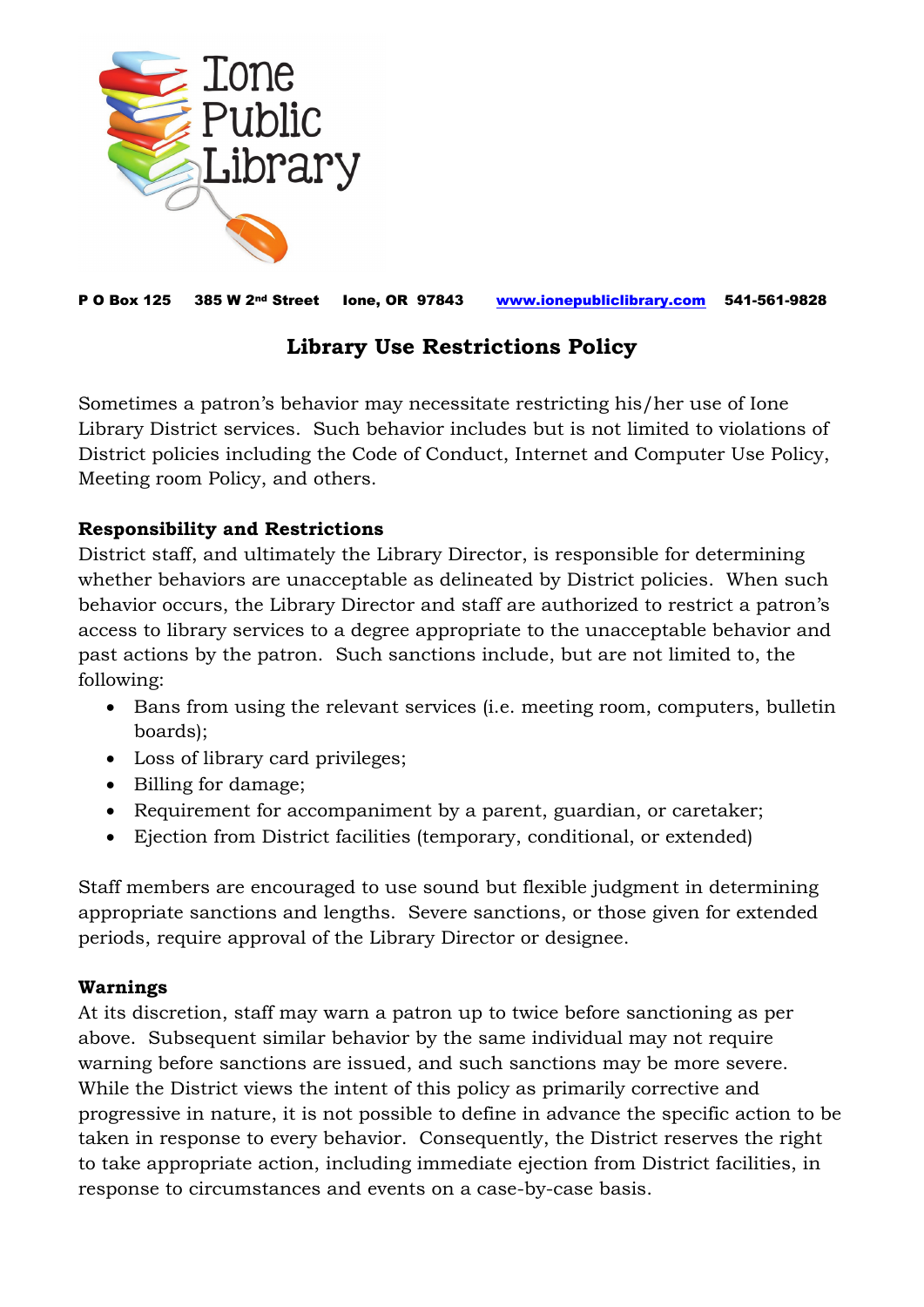

P O Box 125 385 W 2nd Street Ione, OR 97843 [www.ionepubliclibrary.com](http://www.ionepubliclibrary.com/) 541-561-9828

## **Library Use Restrictions Policy**

Sometimes a patron's behavior may necessitate restricting his/her use of Ione Library District services. Such behavior includes but is not limited to violations of District policies including the Code of Conduct, Internet and Computer Use Policy, Meeting room Policy, and others.

## **Responsibility and Restrictions**

District staff, and ultimately the Library Director, is responsible for determining whether behaviors are unacceptable as delineated by District policies. When such behavior occurs, the Library Director and staff are authorized to restrict a patron's access to library services to a degree appropriate to the unacceptable behavior and past actions by the patron. Such sanctions include, but are not limited to, the following:

- Bans from using the relevant services (i.e. meeting room, computers, bulletin boards);
- Loss of library card privileges;
- Billing for damage;
- Requirement for accompaniment by a parent, guardian, or caretaker;
- Ejection from District facilities (temporary, conditional, or extended)

Staff members are encouraged to use sound but flexible judgment in determining appropriate sanctions and lengths. Severe sanctions, or those given for extended periods, require approval of the Library Director or designee.

## **Warnings**

At its discretion, staff may warn a patron up to twice before sanctioning as per above. Subsequent similar behavior by the same individual may not require warning before sanctions are issued, and such sanctions may be more severe. While the District views the intent of this policy as primarily corrective and progressive in nature, it is not possible to define in advance the specific action to be taken in response to every behavior. Consequently, the District reserves the right to take appropriate action, including immediate ejection from District facilities, in response to circumstances and events on a case-by-case basis.